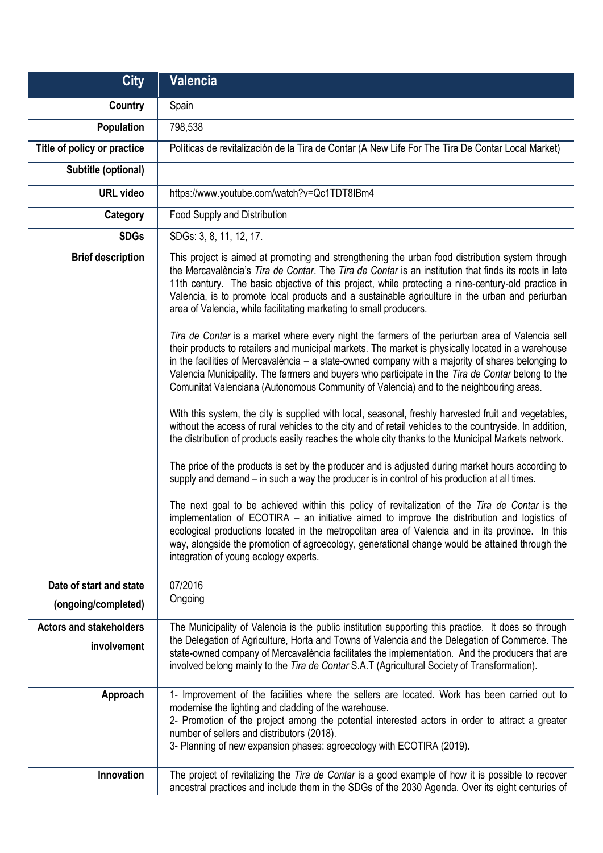| <b>City</b>                                   | <b>Valencia</b>                                                                                                                                                                                                                                                                                                                                                                                                                                                                                                                                                                                                                                                                                                                                                                                                                                                                                                                                                                                                                                                                                                                                                                                                                                                                                                                                                                                                                                                                                                                                                                                                                                                                                                                                                                                                                                                                                                                                |
|-----------------------------------------------|------------------------------------------------------------------------------------------------------------------------------------------------------------------------------------------------------------------------------------------------------------------------------------------------------------------------------------------------------------------------------------------------------------------------------------------------------------------------------------------------------------------------------------------------------------------------------------------------------------------------------------------------------------------------------------------------------------------------------------------------------------------------------------------------------------------------------------------------------------------------------------------------------------------------------------------------------------------------------------------------------------------------------------------------------------------------------------------------------------------------------------------------------------------------------------------------------------------------------------------------------------------------------------------------------------------------------------------------------------------------------------------------------------------------------------------------------------------------------------------------------------------------------------------------------------------------------------------------------------------------------------------------------------------------------------------------------------------------------------------------------------------------------------------------------------------------------------------------------------------------------------------------------------------------------------------------|
| <b>Country</b>                                | Spain                                                                                                                                                                                                                                                                                                                                                                                                                                                                                                                                                                                                                                                                                                                                                                                                                                                                                                                                                                                                                                                                                                                                                                                                                                                                                                                                                                                                                                                                                                                                                                                                                                                                                                                                                                                                                                                                                                                                          |
| Population                                    | 798,538                                                                                                                                                                                                                                                                                                                                                                                                                                                                                                                                                                                                                                                                                                                                                                                                                                                                                                                                                                                                                                                                                                                                                                                                                                                                                                                                                                                                                                                                                                                                                                                                                                                                                                                                                                                                                                                                                                                                        |
| Title of policy or practice                   | Políticas de revitalización de la Tira de Contar (A New Life For The Tira De Contar Local Market)                                                                                                                                                                                                                                                                                                                                                                                                                                                                                                                                                                                                                                                                                                                                                                                                                                                                                                                                                                                                                                                                                                                                                                                                                                                                                                                                                                                                                                                                                                                                                                                                                                                                                                                                                                                                                                              |
| Subtitle (optional)                           |                                                                                                                                                                                                                                                                                                                                                                                                                                                                                                                                                                                                                                                                                                                                                                                                                                                                                                                                                                                                                                                                                                                                                                                                                                                                                                                                                                                                                                                                                                                                                                                                                                                                                                                                                                                                                                                                                                                                                |
| <b>URL video</b>                              | https://www.youtube.com/watch?v=Qc1TDT8IBm4                                                                                                                                                                                                                                                                                                                                                                                                                                                                                                                                                                                                                                                                                                                                                                                                                                                                                                                                                                                                                                                                                                                                                                                                                                                                                                                                                                                                                                                                                                                                                                                                                                                                                                                                                                                                                                                                                                    |
| Category                                      | Food Supply and Distribution                                                                                                                                                                                                                                                                                                                                                                                                                                                                                                                                                                                                                                                                                                                                                                                                                                                                                                                                                                                                                                                                                                                                                                                                                                                                                                                                                                                                                                                                                                                                                                                                                                                                                                                                                                                                                                                                                                                   |
| <b>SDGs</b>                                   | SDGs: 3, 8, 11, 12, 17.                                                                                                                                                                                                                                                                                                                                                                                                                                                                                                                                                                                                                                                                                                                                                                                                                                                                                                                                                                                                                                                                                                                                                                                                                                                                                                                                                                                                                                                                                                                                                                                                                                                                                                                                                                                                                                                                                                                        |
| <b>Brief description</b>                      | This project is aimed at promoting and strengthening the urban food distribution system through<br>the Mercavalència's Tira de Contar. The Tira de Contar is an institution that finds its roots in late<br>11th century. The basic objective of this project, while protecting a nine-century-old practice in<br>Valencia, is to promote local products and a sustainable agriculture in the urban and periurban<br>area of Valencia, while facilitating marketing to small producers.<br>Tira de Contar is a market where every night the farmers of the periurban area of Valencia sell<br>their products to retailers and municipal markets. The market is physically located in a warehouse<br>in the facilities of Mercavalència $-$ a state-owned company with a majority of shares belonging to<br>Valencia Municipality. The farmers and buyers who participate in the Tira de Contar belong to the<br>Comunitat Valenciana (Autonomous Community of Valencia) and to the neighbouring areas.<br>With this system, the city is supplied with local, seasonal, freshly harvested fruit and vegetables,<br>without the access of rural vehicles to the city and of retail vehicles to the countryside. In addition,<br>the distribution of products easily reaches the whole city thanks to the Municipal Markets network.<br>The price of the products is set by the producer and is adjusted during market hours according to<br>supply and demand – in such a way the producer is in control of his production at all times.<br>The next goal to be achieved within this policy of revitalization of the Tira de Contar is the<br>implementation of ECOTIRA - an initiative aimed to improve the distribution and logistics of<br>ecological productions located in the metropolitan area of Valencia and in its province. In this<br>way, alongside the promotion of agroecology, generational change would be attained through the |
| Date of start and state                       | integration of young ecology experts.<br>07/2016                                                                                                                                                                                                                                                                                                                                                                                                                                                                                                                                                                                                                                                                                                                                                                                                                                                                                                                                                                                                                                                                                                                                                                                                                                                                                                                                                                                                                                                                                                                                                                                                                                                                                                                                                                                                                                                                                               |
| (ongoing/completed)                           | Ongoing                                                                                                                                                                                                                                                                                                                                                                                                                                                                                                                                                                                                                                                                                                                                                                                                                                                                                                                                                                                                                                                                                                                                                                                                                                                                                                                                                                                                                                                                                                                                                                                                                                                                                                                                                                                                                                                                                                                                        |
| <b>Actors and stakeholders</b><br>involvement | The Municipality of Valencia is the public institution supporting this practice. It does so through<br>the Delegation of Agriculture, Horta and Towns of Valencia and the Delegation of Commerce. The<br>state-owned company of Mercavalència facilitates the implementation. And the producers that are<br>involved belong mainly to the Tira de Contar S.A.T (Agricultural Society of Transformation).                                                                                                                                                                                                                                                                                                                                                                                                                                                                                                                                                                                                                                                                                                                                                                                                                                                                                                                                                                                                                                                                                                                                                                                                                                                                                                                                                                                                                                                                                                                                       |
| Approach                                      | 1- Improvement of the facilities where the sellers are located. Work has been carried out to<br>modernise the lighting and cladding of the warehouse.<br>2- Promotion of the project among the potential interested actors in order to attract a greater<br>number of sellers and distributors (2018).<br>3- Planning of new expansion phases: agroecology with ECOTIRA (2019).                                                                                                                                                                                                                                                                                                                                                                                                                                                                                                                                                                                                                                                                                                                                                                                                                                                                                                                                                                                                                                                                                                                                                                                                                                                                                                                                                                                                                                                                                                                                                                |
| Innovation                                    | The project of revitalizing the Tira de Contar is a good example of how it is possible to recover<br>ancestral practices and include them in the SDGs of the 2030 Agenda. Over its eight centuries of                                                                                                                                                                                                                                                                                                                                                                                                                                                                                                                                                                                                                                                                                                                                                                                                                                                                                                                                                                                                                                                                                                                                                                                                                                                                                                                                                                                                                                                                                                                                                                                                                                                                                                                                          |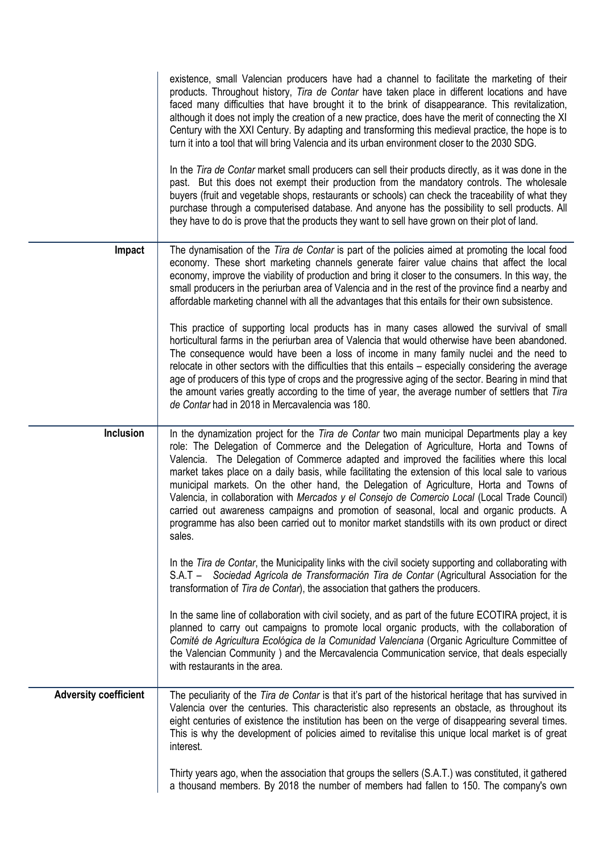|                              | existence, small Valencian producers have had a channel to facilitate the marketing of their<br>products. Throughout history, Tira de Contar have taken place in different locations and have<br>faced many difficulties that have brought it to the brink of disappearance. This revitalization,<br>although it does not imply the creation of a new practice, does have the merit of connecting the XI<br>Century with the XXI Century. By adapting and transforming this medieval practice, the hope is to<br>turn it into a tool that will bring Valencia and its urban environment closer to the 2030 SDG.                                                                                                                                                                                  |
|------------------------------|--------------------------------------------------------------------------------------------------------------------------------------------------------------------------------------------------------------------------------------------------------------------------------------------------------------------------------------------------------------------------------------------------------------------------------------------------------------------------------------------------------------------------------------------------------------------------------------------------------------------------------------------------------------------------------------------------------------------------------------------------------------------------------------------------|
|                              | In the Tira de Contar market small producers can sell their products directly, as it was done in the<br>past. But this does not exempt their production from the mandatory controls. The wholesale<br>buyers (fruit and vegetable shops, restaurants or schools) can check the traceability of what they<br>purchase through a computerised database. And anyone has the possibility to sell products. All<br>they have to do is prove that the products they want to sell have grown on their plot of land.                                                                                                                                                                                                                                                                                     |
| Impact                       | The dynamisation of the Tira de Contar is part of the policies aimed at promoting the local food<br>economy. These short marketing channels generate fairer value chains that affect the local<br>economy, improve the viability of production and bring it closer to the consumers. In this way, the<br>small producers in the periurban area of Valencia and in the rest of the province find a nearby and<br>affordable marketing channel with all the advantages that this entails for their own subsistence.                                                                                                                                                                                                                                                                                |
|                              | This practice of supporting local products has in many cases allowed the survival of small<br>horticultural farms in the periurban area of Valencia that would otherwise have been abandoned.<br>The consequence would have been a loss of income in many family nuclei and the need to<br>relocate in other sectors with the difficulties that this entails – especially considering the average<br>age of producers of this type of crops and the progressive aging of the sector. Bearing in mind that<br>the amount varies greatly according to the time of year, the average number of settlers that Tira<br>de Contar had in 2018 in Mercavalencia was 180.                                                                                                                                |
| Inclusion                    | In the dynamization project for the Tira de Contar two main municipal Departments play a key<br>role: The Delegation of Commerce and the Delegation of Agriculture, Horta and Towns of<br>Valencia. The Delegation of Commerce adapted and improved the facilities where this local<br>market takes place on a daily basis, while facilitating the extension of this local sale to various<br>municipal markets. On the other hand, the Delegation of Agriculture, Horta and Towns of<br>Valencia, in collaboration with Mercados y el Consejo de Comercio Local (Local Trade Council)<br>carried out awareness campaigns and promotion of seasonal, local and organic products. A<br>programme has also been carried out to monitor market standstills with its own product or direct<br>sales. |
|                              | In the Tira de Contar, the Municipality links with the civil society supporting and collaborating with<br>S.A.T - Sociedad Agrícola de Transformación Tira de Contar (Agricultural Association for the<br>transformation of Tira de Contar), the association that gathers the producers.                                                                                                                                                                                                                                                                                                                                                                                                                                                                                                         |
|                              | In the same line of collaboration with civil society, and as part of the future ECOTIRA project, it is<br>planned to carry out campaigns to promote local organic products, with the collaboration of<br>Comité de Agricultura Ecológica de la Comunidad Valenciana (Organic Agriculture Committee of<br>the Valencian Community ) and the Mercavalencia Communication service, that deals especially<br>with restaurants in the area.                                                                                                                                                                                                                                                                                                                                                           |
| <b>Adversity coefficient</b> | The peculiarity of the Tira de Contar is that it's part of the historical heritage that has survived in<br>Valencia over the centuries. This characteristic also represents an obstacle, as throughout its<br>eight centuries of existence the institution has been on the verge of disappearing several times.<br>This is why the development of policies aimed to revitalise this unique local market is of great<br>interest.                                                                                                                                                                                                                                                                                                                                                                 |
|                              | Thirty years ago, when the association that groups the sellers (S.A.T.) was constituted, it gathered<br>a thousand members. By 2018 the number of members had fallen to 150. The company's own                                                                                                                                                                                                                                                                                                                                                                                                                                                                                                                                                                                                   |